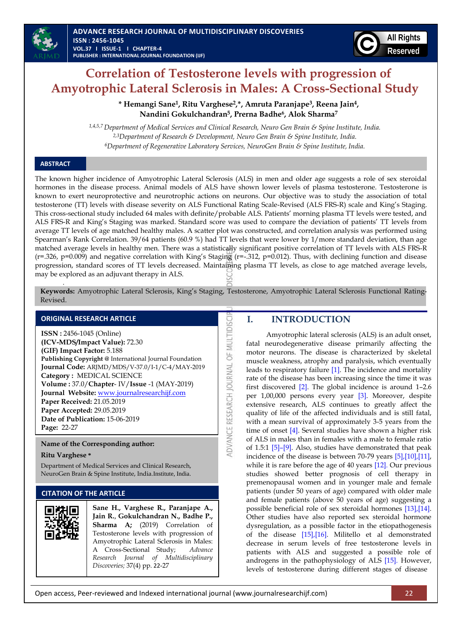

# **Correlation of Testosterone levels with progression of Amyotrophic Lateral Sclerosis in Males: A Cross-Sectional Study**

**\* Hemangi Sane1, Ritu Varghese2,\*, Amruta Paranjape3, Reena Jain4, Nandini Gokulchandran5, Prerna Badhe<sup>6</sup> , Alok Sharma<sup>7</sup>**

*1,4,5,7 Department of Medical Services and Clinical Research, Neuro Gen Brain & Spine Institute, India. 2,3Department of Research & Development, Neuro Gen Brain & Spine Institute, India. <sup>6</sup>Department of Regenerative Laboratory Services, NeuroGen Brain & Spine Institute, India.*

## **ABSTRACT**

The known higher incidence of Amyotrophic Lateral Sclerosis (ALS) in men and older age suggests a role of sex steroidal hormones in the disease process. Animal models of ALS have shown lower levels of plasma testosterone. Testosterone is known to exert neuroprotective and neurotrophic actions on neurons. Our objective was to study the association of total testosterone (TT) levels with disease severity on ALS Functional Rating Scale-Revised (ALS FRS-R) scale and King's Staging. This cross-sectional study included 64 males with definite/probable ALS. Patients' morning plasma TT levels were tested, and ALS FRS-R and King's Staging was marked. Standard score was used to compare the deviation of patients' TT levels from average TT levels of age matched healthy males. A scatter plot was constructed, and correlation analysis was performed using Spearman's Rank Correlation. 39/64 patients (60.9 %) had TT levels that were lower by 1/more standard deviation, than age matched average levels in healthy men. There was a statistically significant positive correlation of TT levels with ALS FRS-R  $(r=.326, p=0.009)$  and negative correlation with King's Staging  $(r=-.312, p=0.012)$ . Thus, with declining function and disease progression, standard scores of TT levels decreased. Maintaining plasma TT levels, as close to age matched average levels, may be explored as an adjuvant therapy in ALS. *.* 

**Keywords:** Amyotrophic Lateral Sclerosis, King's Staging, Testosterone, Amyotrophic Lateral Sclerosis Functional Rating-Revised.

ADVANCE RESEARCH JOURNAL OF MULTIDISCI

### **ORIGINAL RESEARCH ARTICLE**

**ISSN :** 2456-1045 (Online) **(ICV-MDS/Impact Value):** 72.30 **(GIF) Impact Factor:** 5.188 **Publishing Copyright @** International Journal Foundation **Journal Code:** ARJMD/MDS/V-37.0/I-1/C-4/MAY-2019 **Category :** MEDICAL SCIENCE **Volume :** 37.0/**Chapter**- IV/**Issue** -1 (MAY-2019) **Journal Website:** [www.journalresearchijf.com](http://www.journalresearchijf.com/) **Paper Received:** 21.05.2019 **Paper Accepted:** 29.05.2019 **Date of Publication:** 15-06-2019 **Page:** 22-27

**Name of the Corresponding author:**

#### **Ritu Varghese \***

Department of Medical Services and Clinical Research, NeuroGen Brain & Spine Institute, India.Institute, India.

## **CITATION OF THE ARTICLE**



## **I. INTRODUCTION**

Amyotrophic lateral sclerosis (ALS) is an adult onset, fatal neurodegenerative disease primarily affecting the motor neurons. The disease is characterized by skeletal muscle weakness, atrophy and paralysis, which eventually leads to respiratory failure [\[1\].](#page-4-0) The incidence and mortality rate of the disease has been increasing since the time it was first discovered [\[2\].](#page-4-1) The global incidence is around 1–2.6 per 1,00,000 persons every year [\[3\].](#page-4-2) Moreover, despite extensive research, ALS continues to greatly affect the quality of life of the affected individuals and is still fatal, with a mean survival of approximately 3-5 years from the time of onset [\[4\].](#page-4-3) Several studies have shown a higher risk of ALS in males than in females with a male to female ratio of 1.5:1 [\[5\]](#page-4-4)–[\[9\].](#page-4-5) Also, studies have demonstrated that peak incidence of the disease is between 70-79 years [\[5\]](#page-4-4)[,\[10\],](#page-4-6)[\[11\],](#page-4-7)  while it is rare before the age of 40 years [\[12\].](#page-4-8) Our previous studies showed better prognosis of cell therapy in premenopausal women and in younger male and female patients (under 50 years of age) compared with older male and female patients (above 50 years of age) suggesting a possible beneficial role of sex steroidal hormones [\[13\],](#page-4-9)[\[14\].](#page-4-10)  Other studies have also reported sex steroidal hormone dysregulation, as a possible factor in the etiopathogenesis of the disease [\[15\],](#page-4-11)[\[16\].](#page-4-12) Militello et al demonstrated decrease in serum levels of free testosterone levels in patients with ALS and suggested a possible role of androgens in the pathophysiology of ALS [\[15\].](#page-4-11) However, levels of testosterone during different stages of disease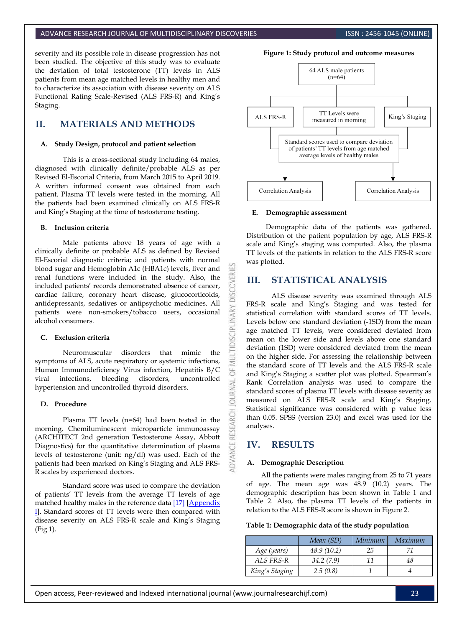#### ADVANCE RESEARCH JOURNAL OF MULTIDISCIPLINARY DISCOVERIES **INC. AND SEARCH ISSN : 2456-1045 (ONLINE**)

severity and its possible role in disease progression has not been studied. The objective of this study was to evaluate the deviation of total testosterone (TT) levels in ALS patients from mean age matched levels in healthy men and to characterize its association with disease severity on ALS Functional Rating Scale-Revised (ALS FRS-R) and King's Staging.

# **II. MATERIALS AND METHODS**

#### **A. Study Design, protocol and patient selection**

This is a cross-sectional study including 64 males, diagnosed with clinically definite/probable ALS as per Revised El-Escorial Criteria, from March 2015 to April 2019. A written informed consent was obtained from each patient. Plasma TT levels were tested in the morning. All the patients had been examined clinically on ALS FRS-R and King's Staging at the time of testosterone testing.

#### **B. Inclusion criteria**

Male patients above 18 years of age with a clinically definite or probable ALS as defined by Revised El-Escorial diagnostic criteria; and patients with normal blood sugar and Hemoglobin A1c (HBA1c) levels, liver and renal functions were included in the study. Also, the included patients' records demonstrated absence of cancer, cardiac failure, coronary heart disease, glucocorticoids, antidepressants, sedatives or antipsychotic medicines. All patients were non-smokers/tobacco users, occasional alcohol consumers.

#### **C. Exclusion criteria**

Neuromuscular disorders that mimic the symptoms of ALS, acute respiratory or systemic infections, Human Immunodeficiency Virus infection, Hepatitis B/C viral infections, bleeding disorders, uncontrolled hypertension and uncontrolled thyroid disorders.

#### **D. Procedure**

Plasma TT levels (n=64) had been tested in the morning. Chemiluminescent microparticle immunoassay (ARCHITECT 2nd generation Testosterone Assay, Abbott Diagnostics) for the quantitative determination of plasma levels of testosterone (unit: ng/dl) was used. Each of the patients had been marked on King's Staging and ALS FRS-R scales by experienced doctors.

Standard score was used to compare the deviation of patients' TT levels from the average TT levels of age matched healthy males in the reference data [\[17\]](#page-4-13) [\[Appendix](#page-5-0)  [I\]](#page-5-0). Standard scores of TT levels were then compared with disease severity on ALS FRS-R scale and King's Staging (Fig 1).



#### **E. Demographic assessment**

Demographic data of the patients was gathered. Distribution of the patient population by age, ALS FRS-R scale and King's staging was computed. Also, the plasma TT levels of the patients in relation to the ALS FRS-R score was plotted.

#### **III. STATISTICAL ANALYSIS**

ALS disease severity was examined through ALS FRS-R scale and King's Staging and was tested for statistical correlation with standard scores of TT levels. Levels below one standard deviation (-1SD) from the mean age matched TT levels, were considered deviated from mean on the lower side and levels above one standard deviation (1SD) were considered deviated from the mean on the higher side. For assessing the relationship between the standard score of TT levels and the ALS FRS-R scale and King's Staging a scatter plot was plotted. Spearman's Rank Correlation analysis was used to compare the standard scores of plasma TT levels with disease severity as measured on ALS FRS-R scale and King's Staging. Statistical significance was considered with p value less than 0.05. SPSS (version 23.0) and excel was used for the analyses.

## **IV. RESULTS**

**DISCOVERI** 

**IDISCIPL** 

₹ 5F **JRNAL** 5

**RESEARCH** 

**DVANCE** 

#### **A. Demographic Description**

All the patients were males ranging from 25 to 71 years of age. The mean age was 48.9 (10.2) years. The demographic description has been shown in Table 1 and Table 2. Also, the plasma TT levels of the patients in relation to the ALS FRS-R score is shown in [Figure 2.](#page-2-0)

#### **Table 1: Demographic data of the study population**

|                | Mean (SD)   | Minimum | Maximum |
|----------------|-------------|---------|---------|
| Age (years)    | 48.9 (10.2) | 25      |         |
| ALS FRS-R      | 34.2(7.9)   | 11      | 48      |
| King's Staging | 2.5(0.8)    |         |         |

Open access, Peer-reviewed and Indexed international journal (www.journalresearchijf.com) 23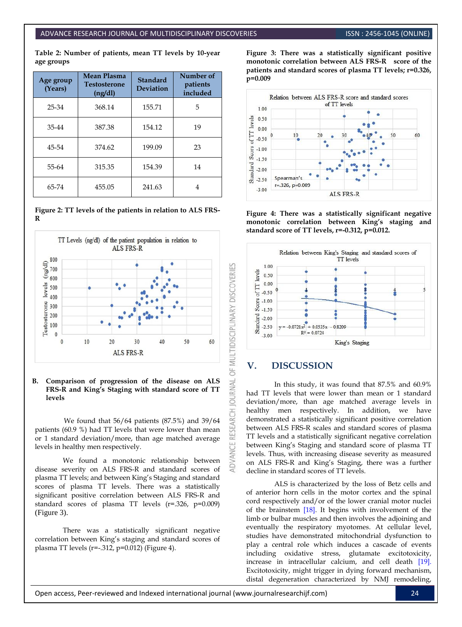**Table 2: Number of patients, mean TT levels by 10-year age groups**

| Age group<br>(Years) | <b>Mean Plasma</b><br><b>Testosterone</b><br>(ng/dl) | <b>Standard</b><br><b>Deviation</b> | Number of<br>patients<br>included |
|----------------------|------------------------------------------------------|-------------------------------------|-----------------------------------|
| 25-34                | 368.14                                               | 155.71                              | 5                                 |
| 35-44                | 387.38                                               | 154.12                              | 19                                |
| 45-54                | 374.62                                               | 199.09                              | 23                                |
| 55-64                | 315.35                                               | 154.39                              | 14                                |
| 65-74                | 455.05                                               | 241.63                              |                                   |

<span id="page-2-0"></span>**Figure 2: TT levels of the patients in relation to ALS FRS-R**



#### **B. Comparison of progression of the disease on ALS FRS-R and King's Staging with standard score of TT levels**

We found that 56/64 patients (87.5%) and 39/64 patients (60.9 %) had TT levels that were lower than mean or 1 standard deviation/more, than age matched average levels in healthy men respectively.

We found a monotonic relationship between disease severity on ALS FRS-R and standard scores of plasma TT levels; and between King's Staging and standard scores of plasma TT levels. There was a statistically significant positive correlation between ALS FRS-R and standard scores of plasma TT levels (r=.326, p=0.009) (Figure 3).

There was a statistically significant negative correlation between King's staging and standard scores of plasma TT levels (r=-.312, p=0.012) [\(Figure 4\)](#page-2-1).

**Figure 3: There was a statistically significant positive monotonic correlation between ALS FRS-R score of the patients and standard scores of plasma TT levels; r=0.326, p=0.009**



<span id="page-2-1"></span>**Figure 4: There was a statistically significant negative monotonic correlation between King's staging and standard score of TT levels, r=-0.312, p=0.012.**



## **V. DISCUSSION**

**OURNAL** 

**RESEARCH** 

ADVANCE

In this study, it was found that 87.5% and 60.9% had TT levels that were lower than mean or 1 standard deviation/more, than age matched average levels in healthy men respectively. In addition, we have demonstrated a statistically significant positive correlation between ALS FRS-R scales and standard scores of plasma TT levels and a statistically significant negative correlation between King's Staging and standard score of plasma TT levels. Thus, with increasing disease severity as measured on ALS FRS-R and King's Staging, there was a further decline in standard scores of TT levels.

ALS is characterized by the loss of Betz cells and of anterior horn cells in the motor cortex and the spinal cord respectively and/or of the lower cranial motor nuclei of the brainstem [18]. It begins with involvement of the limb or bulbar muscles and then involves the adjoining and eventually the respiratory myotomes. At cellular level, studies have demonstrated mitochondrial dysfunction to play a central role which induces a cascade of events including oxidative stress, glutamate excitotoxicity, increase in intracellular calcium, and cell death [\[19\].](#page-4-14) Excitotoxicity, might trigger in dying forward mechanism, distal degeneration characterized by NMJ remodeling,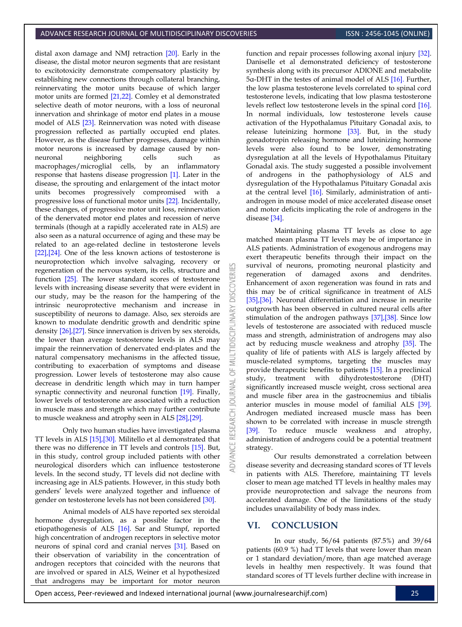distal axon damage and NMJ retraction [20]. Early in the disease, the distal motor neuron segments that are resistant to excitotoxicity demonstrate compensatory plasticity by establishing new connections through collateral branching, reinnervating the motor units because of which larger motor units are formed [21,22]. Comley et al demonstrated selective death of motor neurons, with a loss of neuronal innervation and shrinkage of motor end plates in a mouse model of ALS [23]. Reinnervation was noted with disease progression reflected as partially occupied end plates. However, as the disease further progresses, damage within motor neurons is increased by damage caused by nonneuronal neighboring cells such as macrophages/microglial cells, by an inflammatory response that hastens disease progression [1]. Later in the disease, the sprouting and enlargement of the intact motor units becomes progressively compromised with a progressive loss of functional motor units [22]. Incidentally, these changes, of progressive motor unit loss, reinnervation of the denervated motor end plates and recession of nerve terminals (though at a rapidly accelerated rate in ALS) are also seen as a natural occurrence of aging and these may be related to an age-related decline in testosterone levels [\[22\]](#page-4-15)[,\[24\].](#page-5-1) One of the less known actions of testosterone is neuroprotection which involve salvaging, recovery or regeneration of the nervous system, its cells, structure and function [25]. The lower standard scores of testosterone levels with increasing disease severity that were evident in our study, may be the reason for the hampering of the intrinsic neuroprotective mechanism and increase in susceptibility of neurons to damage. Also, sex steroids are known to modulate dendritic growth and dendritic spine density [26],[27]. Since innervation is driven by sex steroids, the lower than average testosterone levels in ALS may impair the reinnervation of denervated end-plates and the natural compensatory mechanisms in the affected tissue, contributing to exacerbation of symptoms and disease progression. Lower levels of testosterone may also cause decrease in dendritic length which may in turn hamper synaptic connectivity and neuronal function [19]. Finally, lower levels of testosterone are associated with a reduction in muscle mass and strength which may further contribute to muscle weakness and atrophy seen in ALS [28],[29].

Only two human studies have investigated plasma TT levels in ALS [15],[30]. Militello et al demonstrated that there was no difference in TT levels and controls [15]. But, in this study, control group included patients with other neurological disorders which can influence testosterone levels. In the second study, TT levels did not decline with increasing age in ALS patients. However, in this study both genders' levels were analyzed together and influence of gender on testosterone levels has not been considered [30].

Animal models of ALS have reported sex steroidal hormone dysregulation, as a possible factor in the etiopathogenesis of ALS [16]. Sar and Stumpf, reported high concentration of androgen receptors in selective motor neurons of spinal cord and cranial nerves [31]. Based on their observation of variability in the concentration of androgen receptors that coincided with the neurons that are involved or spared in ALS, Weiner et al hypothesized that androgens may be important for motor neuron

function and repair processes following axonal injury [32]. Daniselle et al demonstrated deficiency of testosterone synthesis along with its precursor ADIONE and metabolite 5α-DHT in the testes of animal model of ALS [16]. Further, the low plasma testosterone levels correlated to spinal cord testosterone levels, indicating that low plasma testosterone levels reflect low testosterone levels in the spinal cord [16]. In normal individuals, low testosterone levels cause activation of the Hypothalamus Pituitary Gonadal axis, to release luteinizing hormone [33]. But, in the study gonadotropin releasing hormone and luteinizing hormone levels were also found to be lower, demonstrating dysregulation at all the levels of Hypothalamus Pituitary Gonadal axis. The study suggested a possible involvement of androgens in the pathophysiology of ALS and dysregulation of the Hypothalamus Pituitary Gonadal axis at the central level [16]. Similarly, administration of antiandrogen in mouse model of mice accelerated disease onset and motor deficits implicating the role of androgens in the disease [34].

Maintaining plasma TT levels as close to age matched mean plasma TT levels may be of importance in ALS patients. Administration of exogenous androgens may exert therapeutic benefits through their impact on the survival of neurons, promoting neuronal plasticity and regeneration of damaged axons and dendrites. Enhancement of axon regeneration was found in rats and this may be of critical significance in treatment of ALS [35],[36]. Neuronal differentiation and increase in neurite outgrowth has been observed in cultured neural cells after stimulation of the androgen pathways [37],[38]. Since low levels of testosterone are associated with reduced muscle mass and strength, administration of androgens may also act by reducing muscle weakness and atrophy [35]. The quality of life of patients with ALS is largely affected by muscle-related symptoms, targeting the muscles may provide therapeutic benefits to patients [15]. In a preclinical study, treatment with dihydrotestosterone (DHT) significantly increased muscle weight, cross sectional area and muscle fiber area in the gastrocnemius and tibialis anterior muscles in mouse model of familial ALS [39]. Androgen mediated increased muscle mass has been shown to be correlated with increase in muscle strength [39]. To reduce muscle weakness and atrophy, administration of androgens could be a potential treatment strategy.

Our results demonstrated a correlation between disease severity and decreasing standard scores of TT levels in patients with ALS. Therefore, maintaining TT levels closer to mean age matched TT levels in healthy males may provide neuroprotection and salvage the neurons from accelerated damage. One of the limitations of the study includes unavailability of body mass index.

## **VI. CONCLUSION**

3

In our study, 56/64 patients (87.5%) and 39/64 patients (60.9 %) had TT levels that were lower than mean or 1 standard deviation/more, than age matched average levels in healthy men respectively. It was found that standard scores of TT levels further decline with increase in

Open access, Peer-reviewed and Indexed international journal (www.journalresearchijf.com) 25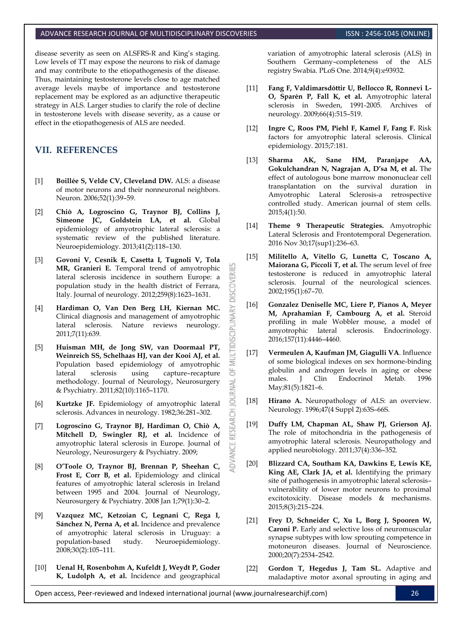#### ADVANCE RESEARCH JOURNAL OF MULTIDISCIPLINARY DISCOVERIES **INC. AND SEAL AREA ISSN : 2456-1045 (ONLINE**)

disease severity as seen on ALSFRS-R and King's staging. Low levels of TT may expose the neurons to risk of damage and may contribute to the etiopathogenesis of the disease. Thus, maintaining testosterone levels close to age matched average levels maybe of importance and testosterone replacement may be explored as an adjunctive therapeutic strategy in ALS. Larger studies to clarify the role of decline in testosterone levels with disease severity, as a cause or effect in the etiopathogenesis of ALS are needed.

# **VII. REFERENCES**

- <span id="page-4-0"></span>[1] **Boillée S, Velde CV, Cleveland DW.** ALS: a disease of motor neurons and their nonneuronal neighbors. Neuron. 2006;52(1):39–59.
- <span id="page-4-1"></span>[2] **Chiò A, Logroscino G, Traynor BJ, Collins J, Simeone JC, Goldstein LA, et al.** Global epidemiology of amyotrophic lateral sclerosis: a systematic review of the published literature. Neuroepidemiology. 2013;41(2):118–130.
- <span id="page-4-2"></span>[3] **Govoni V, Cesnik E, Casetta I, Tugnoli V, Tola MR, Granieri E.** Temporal trend of amyotrophic lateral sclerosis incidence in southern Europe: a population study in the health district of Ferrara, Italy. Journal of neurology. 2012;259(8):1623–1631.

K

**DISCOVERI** 

MULTIDISCIPLINARY

5 **JRNAL** jon

**IDVANCE RESEARCH** 

- <span id="page-4-3"></span>[4] **Hardiman O, Van Den Berg LH, Kiernan MC.** Clinical diagnosis and management of amyotrophic lateral sclerosis. Nature reviews neurology. 2011;7(11):639.
- <span id="page-4-4"></span>[5] **Huisman MH, de Jong SW, van Doormaal PT, Weinreich SS, Schelhaas HJ, van der Kooi AJ, et al.** Population based epidemiology of amyotrophic lateral sclerosis using capture–recapture methodology. Journal of Neurology, Neurosurgery & Psychiatry. 2011;82(10):1165–1170.
- [6] **Kurtzke JF.** Epidemiology of amyotrophic lateral sclerosis. Advances in neurology. 1982;36:281–302.
- [7] **Logroscino G, Traynor BJ, Hardiman O, Chiò A, Mitchell D, Swingler RJ, et al.** Incidence of amyotrophic lateral sclerosis in Europe. Journal of Neurology, Neurosurgery & Psychiatry. 2009;
- [8] **O'Toole O, Traynor BJ, Brennan P, Sheehan C,**  Frost E, Corr B, et al. Epidemiology and clinical features of amyotrophic lateral sclerosis in Ireland between 1995 and 2004. Journal of Neurology, Neurosurgery & Psychiatry. 2008 Jan 1;79(1):30–2.
- <span id="page-4-5"></span>[9] **Vazquez MC, Ketzoian C, Legnani C, Rega I, Sánchez N, Perna A, et al.** Incidence and prevalence of amyotrophic lateral sclerosis in Uruguay: a population-based study. Neuroepidemiology. 2008;30(2):105–111.
- <span id="page-4-6"></span>[10] **Uenal H, Rosenbohm A, Kufeldt J, Weydt P, Goder K, Ludolph A, et al.** Incidence and geographical

variation of amyotrophic lateral sclerosis (ALS) in Southern Germany–completeness of the ALS registry Swabia. PLoS One. 2014;9(4):e93932.

- <span id="page-4-7"></span>[11] **Fang F, Valdimarsdóttir U, Bellocco R, Ronnevi L-O, Sparén P, Fall K, et al.** Amyotrophic lateral sclerosis in Sweden, 1991-2005. Archives of neurology. 2009;66(4):515–519.
- <span id="page-4-8"></span>[12] **Ingre C, Roos PM, Piehl F, Kamel F, Fang F.** Risk factors for amyotrophic lateral sclerosis. Clinical epidemiology. 2015;7:181.
- <span id="page-4-9"></span>[13] **Sharma AK, Sane HM, Paranjape AA, Gokulchandran N, Nagrajan A, D'sa M, et al.** The effect of autologous bone marrow mononuclear cell transplantation on the survival duration in Amyotrophic Lateral Sclerosis-a retrospective controlled study. American journal of stem cells. 2015;4(1):50.
- <span id="page-4-10"></span>[14] **Theme 9 Therapeutic Strategies.** Amyotrophic Lateral Sclerosis and Frontotemporal Degeneration. 2016 Nov 30;17(sup1):236–63.
- <span id="page-4-11"></span>[15] **Militello A, Vitello G, Lunetta C, Toscano A, Maiorana G, Piccoli T, et al.** The serum level of free testosterone is reduced in amyotrophic lateral sclerosis. Journal of the neurological sciences. 2002;195(1):67–70.
- <span id="page-4-12"></span>[16] **Gonzalez Deniselle MC, Liere P, Pianos A, Meyer M, Aprahamian F, Cambourg A, et al.** Steroid profiling in male Wobbler mouse, a model of amyotrophic lateral sclerosis. Endocrinology. 2016;157(11):4446–4460.
- <span id="page-4-13"></span>[17] **Vermeulen A, Kaufman JM, Giagulli VA**. Influence of some biological indexes on sex hormone-binding globulin and androgen levels in aging or obese males. J Clin Endocrinol Metab. 1996 May;81(5):1821–6.
- [18] **Hirano A.** Neuropathology of ALS: an overview. Neurology. 1996;47(4 Suppl 2):63S–66S.
- <span id="page-4-14"></span>[19] **Duffy LM, Chapman AL, Shaw PJ, Grierson AJ.** The role of mitochondria in the pathogenesis of amyotrophic lateral sclerosis. Neuropathology and applied neurobiology. 2011;37(4):336–352.
- [20] **Blizzard CA, Southam KA, Dawkins E, Lewis KE, King AE, Clark JA, et al.** Identifying the primary site of pathogenesis in amyotrophic lateral sclerosis– vulnerability of lower motor neurons to proximal excitotoxicity. Disease models & mechanisms. 2015;8(3):215–224.
- [21] **Frey D, Schneider C, Xu L, Borg J, Spooren W, Caroni P.** Early and selective loss of neuromuscular synapse subtypes with low sprouting competence in motoneuron diseases. Journal of Neuroscience. 2000;20(7):2534–2542.
- <span id="page-4-15"></span>[22] **Gordon T, Hegedus J, Tam SL.** Adaptive and maladaptive motor axonal sprouting in aging and

Open access, Peer-reviewed and Indexed international journal (www.journalresearchijf.com) 26